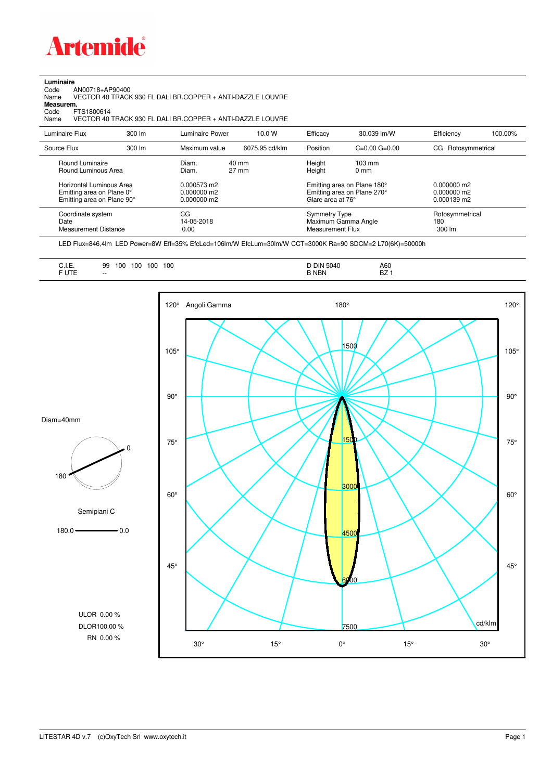

## **Luminaire**

Code AN00718+AP90400 Name VECTOR 40 TRACK 930 FL DALI BR.COPPER + ANTI-DAZZLE LOUVRE Code A<br>Name V<br>**Measurem.** 

Code FTS1800614<br>Name VECTOR 40 Name VECTOR 40 TRACK 930 FL DALI BR.COPPER + ANTI-DAZZLE LOUVRE

| Luminaire Flux                                                                                                                | $300 \, \text{Im}$ | Luminaire Power                                                 | 10.0 W                   | Efficacy                              | 30.039 lm/W                                                                                      | Efficiency                                      | 100.00% |
|-------------------------------------------------------------------------------------------------------------------------------|--------------------|-----------------------------------------------------------------|--------------------------|---------------------------------------|--------------------------------------------------------------------------------------------------|-------------------------------------------------|---------|
| Source Flux                                                                                                                   | $300 \, \text{Im}$ | Maximum value                                                   | 6075.95 cd/klm           | Position                              | $C=0.00$ $G=0.00$                                                                                | CG Rotosymmetrical                              |         |
| Round Luminaire<br>Round Luminous Area<br>Horizontal Luminous Area<br>Emitting area on Plane 0°<br>Emitting area on Plane 90° |                    | Diam.<br>Diam.<br>0.000573 m2<br>$0.000000$ m2<br>$0.000000$ m2 | 40 mm<br>$27 \text{ mm}$ | Height<br>Height<br>Glare area at 76° | $103 \text{ mm}$<br>$0 \text{ mm}$<br>Emitting area on Plane 180°<br>Emitting area on Plane 270° | $0.000000$ m2<br>$0.000000$ m2<br>$0.000139$ m2 |         |
| Coordinate system<br>Date<br>Measurement Distance                                                                             |                    | CG<br>14-05-2018<br>0.00                                        |                          | Symmetry Type<br>Measurement Flux     | Maximum Gamma Angle                                                                              | Rotosymmetrical<br>180<br>$300 \, \text{Im}$    |         |

LED Flux=846,4lm LED Power=8W Eff=35% EfcLed=106lm/W EfcLum=30lm/W CCT=3000K Ra=90 SDCM=2 L70(6K)=50000h